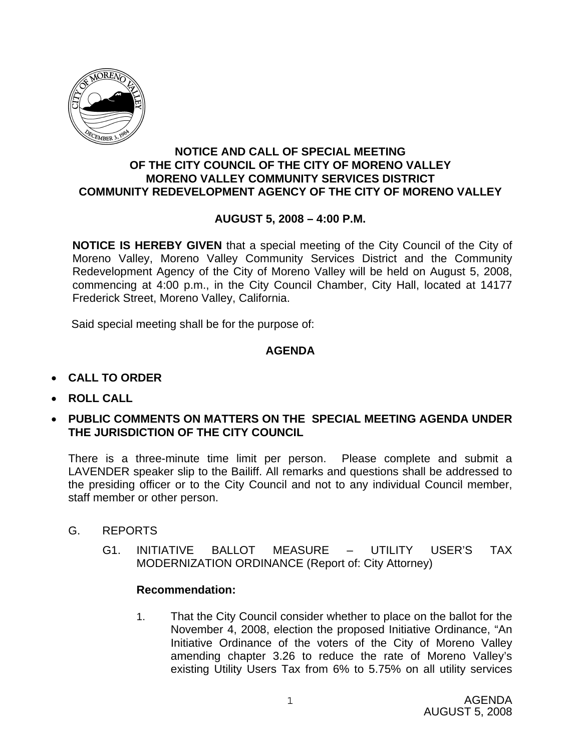

### **NOTICE AND CALL OF SPECIAL MEETING OF THE CITY COUNCIL OF THE CITY OF MORENO VALLEY MORENO VALLEY COMMUNITY SERVICES DISTRICT COMMUNITY REDEVELOPMENT AGENCY OF THE CITY OF MORENO VALLEY**

# **AUGUST 5, 2008 – 4:00 P.M.**

**NOTICE IS HEREBY GIVEN** that a special meeting of the City Council of the City of Moreno Valley, Moreno Valley Community Services District and the Community Redevelopment Agency of the City of Moreno Valley will be held on August 5, 2008, commencing at 4:00 p.m., in the City Council Chamber, City Hall, located at 14177 Frederick Street, Moreno Valley, California.

Said special meeting shall be for the purpose of:

# **AGENDA**

- **CALL TO ORDER**
- **ROLL CALL**
- **PUBLIC COMMENTS ON MATTERS ON THE SPECIAL MEETING AGENDA UNDER THE JURISDICTION OF THE CITY COUNCIL**

There is a three-minute time limit per person. Please complete and submit a LAVENDER speaker slip to the Bailiff. All remarks and questions shall be addressed to the presiding officer or to the City Council and not to any individual Council member, staff member or other person.

- G. REPORTS
	- G1. INITIATIVE BALLOT MEASURE UTILITY USER'S TAX MODERNIZATION ORDINANCE (Report of: City Attorney)

### **Recommendation:**

1. That the City Council consider whether to place on the ballot for the November 4, 2008, election the proposed Initiative Ordinance, "An Initiative Ordinance of the voters of the City of Moreno Valley amending chapter 3.26 to reduce the rate of Moreno Valley's existing Utility Users Tax from 6% to 5.75% on all utility services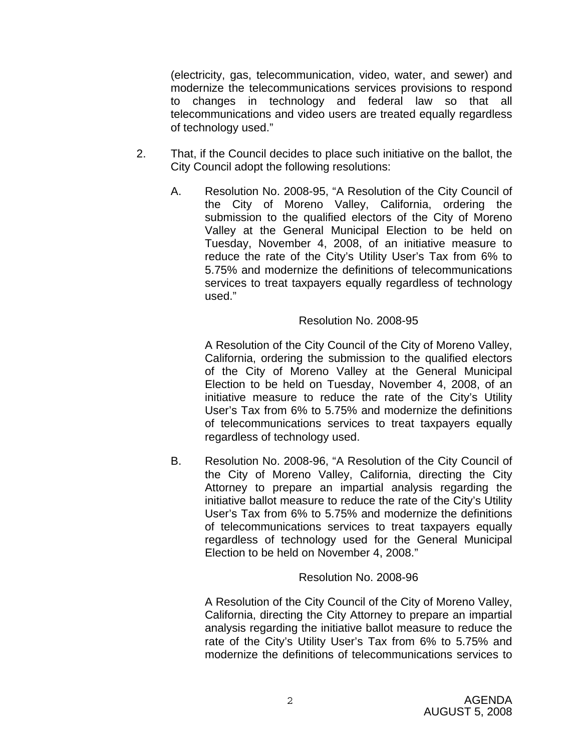(electricity, gas, telecommunication, video, water, and sewer) and modernize the telecommunications services provisions to respond to changes in technology and federal law so that all telecommunications and video users are treated equally regardless of technology used."

- 2. That, if the Council decides to place such initiative on the ballot, the City Council adopt the following resolutions:
	- A. Resolution No. 2008-95, "A Resolution of the City Council of the City of Moreno Valley, California, ordering the submission to the qualified electors of the City of Moreno Valley at the General Municipal Election to be held on Tuesday, November 4, 2008, of an initiative measure to reduce the rate of the City's Utility User's Tax from 6% to 5.75% and modernize the definitions of telecommunications services to treat taxpayers equally regardless of technology used."

### Resolution No. 2008-95

A Resolution of the City Council of the City of Moreno Valley, California, ordering the submission to the qualified electors of the City of Moreno Valley at the General Municipal Election to be held on Tuesday, November 4, 2008, of an initiative measure to reduce the rate of the City's Utility User's Tax from 6% to 5.75% and modernize the definitions of telecommunications services to treat taxpayers equally regardless of technology used.

B. Resolution No. 2008-96, "A Resolution of the City Council of the City of Moreno Valley, California, directing the City Attorney to prepare an impartial analysis regarding the initiative ballot measure to reduce the rate of the City's Utility User's Tax from 6% to 5.75% and modernize the definitions of telecommunications services to treat taxpayers equally regardless of technology used for the General Municipal Election to be held on November 4, 2008."

### Resolution No. 2008-96

A Resolution of the City Council of the City of Moreno Valley, California, directing the City Attorney to prepare an impartial analysis regarding the initiative ballot measure to reduce the rate of the City's Utility User's Tax from 6% to 5.75% and modernize the definitions of telecommunications services to